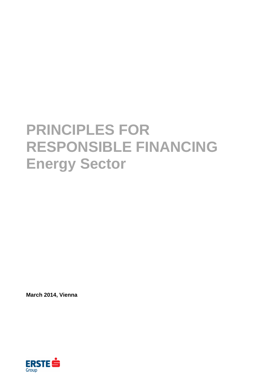# **PRINCIPLES FOR RESPONSIBLE FINANCING Energy Sector**

**March 2014, Vienna** 

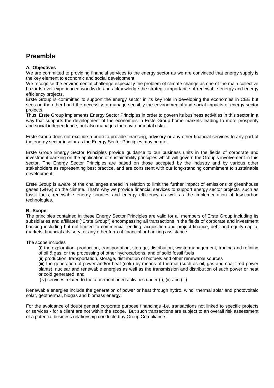# **Preamble**

# **A. Objectives**

We are committed to providing financial services to the energy sector as we are convinced that energy supply is the key element to economic and social development.

We recognise the environmental challenge especially the problem of climate change as one of the main collective hazards ever experienced worldwide and acknowledge the strategic importance of renewable energy and energy efficiency projects.

Erste Group is committed to support the energy sector in its key role in developing the economies in CEE but sees on the other hand the necessity to manage sensibly the environmental and social impacts of energy sector projects.

Thus, Erste Group implements Energy Sector Principles in order to govern its business activities in this sector in a way that supports the development of the economies in Erste Group home markets leading to more prosperity and social independence, but also manages the environmental risks.

Erste Group does not exclude a priori to provide financing, advisory or any other financial services to any part of the energy sector insofar as the Energy Sector Principles may be met.

Erste Group Energy Sector Principles provide guidance to our business units in the fields of corporate and investment banking on the application of sustainability principles which will govern the Group's involvement in this sector. The Energy Sector Principles are based on those accepted by the industry and by various other stakeholders as representing best practice, and are consistent with our long-standing commitment to sustainable development.

Erste Group is aware of the challenges ahead in relation to limit the further impact of emissions of greenhouse gases (GHG) on the climate. That's why we provide financial services to support energy sector projects, such as fossil fuels, renewable energy sources and energy efficiency as well as the implementation of low-carbon technologies.

## **B. Scope**

The principles contained in these Energy Sector Principles are valid for all members of Erste Group including its subsidiaries and affiliates ("Erste Group") encompassing all transactions in the fields of corporate and investment banking including but not limited to commercial lending, acquisition and project finance, debt and equity capital markets, financial advisory, or any other form of financial or banking assistance.

The scope includes

(i) the exploration, production, transportation, storage, distribution, waste management, trading and refining of oil & gas, or the processing of other hydrocarbons, and of solid fossil fuels

(ii) production, transportation, storage, distribution of biofuels and other renewable sources

(iii) the generation of power and/or heat (cold) by means of thermal (such as oil, gas and coal fired power plants), nuclear and renewable energies as well as the transmission and distribution of such power or heat or cold generated, and

(iv) services related to the aforementioned activities under (i), (ii) and (iii).

Renewable energies include the generation of power or heat through hydro, wind, thermal solar and photovoltaic solar, geothermal, biogas and biomass energy.

For the avoidance of doubt general corporate purpose financings -i.e. transactions not linked to specific projects or services - for a client are not within the scope. But such transactions are subject to an overall risk assessment of a potential business relationship conducted by Group Compliance.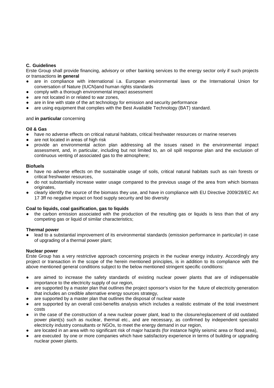# **C. Guidelines**

Erste Group shall provide financing, advisory or other banking services to the energy sector only if such projects or transactions **in general**

- are in compliance with international i.a. European environmental laws or the International Union for conversation of Nature (IUCN)and human rights standards
- comply with a thorough environmental impact assessment
- are not located in or related to war zones,
- are in line with state of the art technology for emission and security performance
- are using equipment that complies with the Best Available Technology (BAT) standard.

#### and **in particular** concerning

#### **Oil & Gas**

- have no adverse effects on critical natural habitats, critical freshwater resources or marine reserves
- are not located in areas of high risk
- provide an environmental action plan addressing all the issues raised in the environmental impact assessment, and, in particular, including but not limited to, an oil spill response plan and the exclusion of continuous venting of associated gas to the atmosphere;

#### **Biofuels**

- have no adverse effects on the sustainable usage of soils, critical natural habitats such as rain forests or critical freshwater resources,
- do not substantially increase water usage compared to the previous usage of the area from which biomass originates,
- clearly identify the source of the biomass they use, and have in compliance with EU Directive 2009/28/EC Art 17 3ff no negative impact on food supply security and bio diversity

#### **Coal to liquids, coal gasification, gas to liquids**

the carbon emission associated with the production of the resulting gas or liquids is less than that of any competing gas or liquid of similar characteristics;

## **Thermal power**

● lead to a substantial improvement of its environmental standards (emission performance in particular) in case of upgrading of a thermal power plant;

#### **Nuclear power**

Erste Group has a very restrictive approach concerning projects in the nuclear energy industry. Accordingly any project or transaction in the scope of the herein mentioned principles, is in addition to its compliance with the above mentioned general conditions subject to the below mentioned stringent specific conditions:

- are aimed to increase the safety standards of existing nuclear power plants that are of indispensable importance to the electricity supply of our region,
- are supported by a master plan that outlines the project sponsor's vision for the future of electricity generation that includes an credible alternative energy sources strategy,
- are supported by a master plan that outlines the disposal of nuclear waste
- are supported by an overall cost-benefits analysis which includes a realistic estimate of the total investment costs
- in the case of the construction of a new nuclear power plant, lead to the closure/replacement of old outdated power plant(s) such as nuclear, thermal etc., and are necessary, as confirmed by independent specialist electricity industry consultants or NGOs, to meet the energy demand in our region,
- are located in an area with no significant risk of major hazards (for instance highly seismic area or flood area),
- are executed by one or more companies which have satisfactory experience in terms of building or upgrading nuclear power plants.